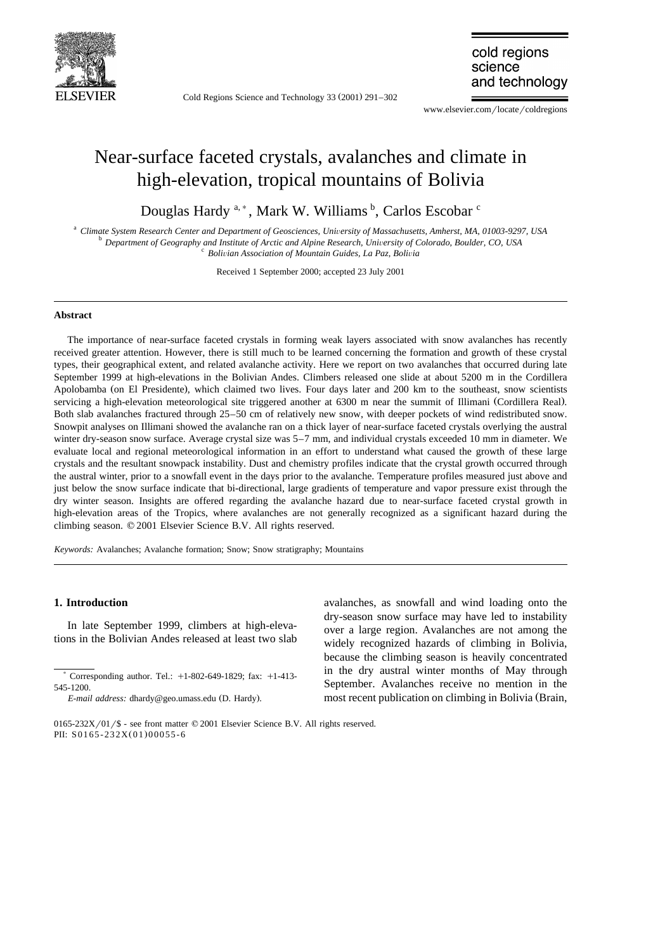

Cold Regions Science and Technology  $33(2001)$   $291-302$ 

cold regions science and technology

www.elsevier.com/locate/coldregions

# Near-surface faceted crystals, avalanches and climate in high-elevation, tropical mountains of Bolivia

Douglas Hardy <sup>a,\*</sup>, Mark W. Williams <sup>b</sup>, Carlos Escobar <sup>c</sup>

<sup>a</sup> Climate System Research Center and Department of Geosciences, University of Massachusetts, Amherst, MA, 01003-9297, USA<br><sup>b</sup> Department of Geography and Institute of Arctic and Alpine Research, University of Colorado,

Received 1 September 2000; accepted 23 July 2001

#### **Abstract**

The importance of near-surface faceted crystals in forming weak layers associated with snow avalanches has recently received greater attention. However, there is still much to be learned concerning the formation and growth of these crystal types, their geographical extent, and related avalanche activity. Here we report on two avalanches that occurred during late September 1999 at high-elevations in the Bolivian Andes. Climbers released one slide at about 5200 m in the Cordillera Apolobamba (on El Presidente), which claimed two lives. Four days later and 200 km to the southeast, snow scientists servicing a high-elevation meteorological site triggered another at 6300 m near the summit of Illimani (Cordillera Real). Both slab avalanches fractured through 25–50 cm of relatively new snow, with deeper pockets of wind redistributed snow. Snowpit analyses on Illimani showed the avalanche ran on a thick layer of near-surface faceted crystals overlying the austral winter dry-season snow surface. Average crystal size was 5–7 mm, and individual crystals exceeded 10 mm in diameter. We evaluate local and regional meteorological information in an effort to understand what caused the growth of these large crystals and the resultant snowpack instability. Dust and chemistry profiles indicate that the crystal growth occurred through the austral winter, prior to a snowfall event in the days prior to the avalanche. Temperature profiles measured just above and just below the snow surface indicate that bi-directional, large gradients of temperature and vapor pressure exist through the dry winter season. Insights are offered regarding the avalanche hazard due to near-surface faceted crystal growth in high-elevation areas of the Tropics, where avalanches are not generally recognized as a significant hazard during the climbing season.  $© 2001$  Elsevier Science B.V. All rights reserved.

*Keywords:* Avalanches; Avalanche formation; Snow; Snow stratigraphy; Mountains

## **1. Introduction**

In late September 1999, climbers at high-elevations in the Bolivian Andes released at least two slab

avalanches, as snowfall and wind loading onto the dry-season snow surface may have led to instability over a large region. Avalanches are not among the widely recognized hazards of climbing in Bolivia, because the climbing season is heavily concentrated in the dry austral winter months of May through September. Avalanches receive no mention in the most recent publication on climbing in Bolivia (Brain,

 $*$  Corresponding author. Tel.:  $+1-802-649-1829$ ; fax:  $+1-413-$ 545-1200.

*E-mail address:* dhardy@geo.umass.edu (D. Hardy).

<sup>0165-232</sup>X/01/\$ - see front matter  $\textcircled{ }2001$  Elsevier Science B.V. All rights reserved. PII: S0165-232X(01)00055-6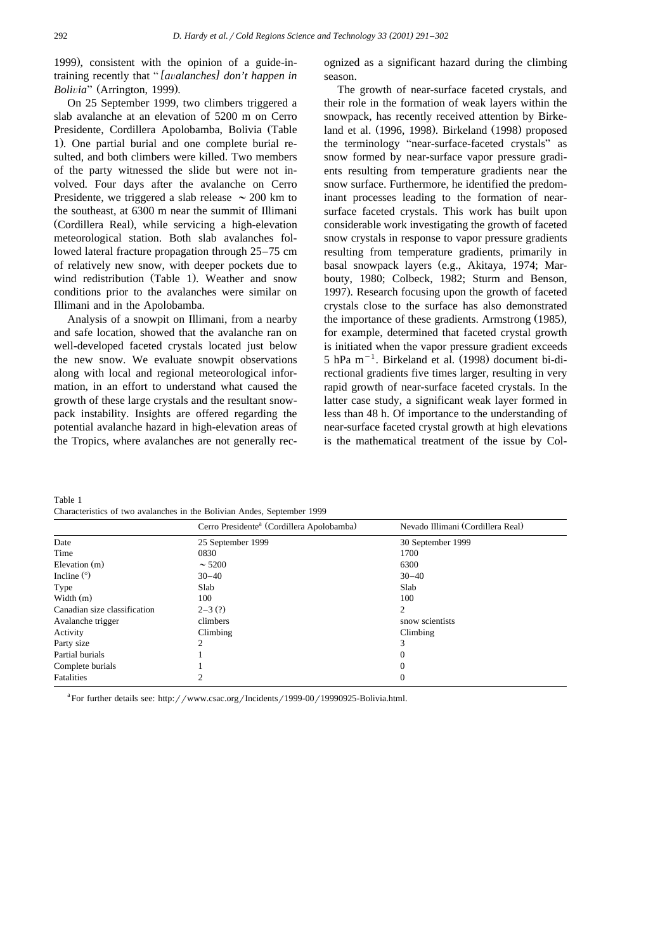1999), consistent with the opinion of a guide-intraining recently that "*[avalanches] don't happen in Bolivia*" (Arrington, 1999).

On 25 September 1999, two climbers triggered a slab avalanche at an elevation of 5200 m on Cerro Presidente, Cordillera Apolobamba, Bolivia (Table 1). One partial burial and one complete burial resulted, and both climbers were killed. Two members of the party witnessed the slide but were not involved. Four days after the avalanche on Cerro Presidente, we triggered a slab release  $\sim 200$  km to the southeast, at 6300 m near the summit of Illimani (Cordillera Real), while servicing a high-elevation meteorological station. Both slab avalanches followed lateral fracture propagation through 25–75 cm of relatively new snow, with deeper pockets due to wind redistribution (Table 1). Weather and snow conditions prior to the avalanches were similar on Illimani and in the Apolobamba.

Analysis of a snowpit on Illimani, from a nearby and safe location, showed that the avalanche ran on well-developed faceted crystals located just below the new snow. We evaluate snowpit observations along with local and regional meteorological information, in an effort to understand what caused the growth of these large crystals and the resultant snowpack instability. Insights are offered regarding the potential avalanche hazard in high-elevation areas of the Tropics, where avalanches are not generally recognized as a significant hazard during the climbing season.

The growth of near-surface faceted crystals, and their role in the formation of weak layers within the snowpack, has recently received attention by Birkeland et al. (1996, 1998). Birkeland (1998) proposed the terminology "near-surface-faceted crystals" as snow formed by near-surface vapor pressure gradients resulting from temperature gradients near the snow surface. Furthermore, he identified the predominant processes leading to the formation of nearsurface faceted crystals. This work has built upon considerable work investigating the growth of faceted snow crystals in response to vapor pressure gradients resulting from temperature gradients, primarily in basal snowpack layers (e.g., Akitaya, 1974; Marbouty, 1980; Colbeck, 1982; Sturm and Benson, 1997). Research focusing upon the growth of faceted crystals close to the surface has also demonstrated the importance of these gradients. Armstrong (1985), for example, determined that faceted crystal growth is initiated when the vapor pressure gradient exceeds 5 hPa  $m^{-1}$ . Birkeland et al. (1998) document bi-directional gradients five times larger, resulting in very rapid growth of near-surface faceted crystals. In the latter case study, a significant weak layer formed in less than 48 h. Of importance to the understanding of near-surface faceted crystal growth at high elevations is the mathematical treatment of the issue by Col-

Table 1 Characteristics of two avalanches in the Bolivian Andes, September 1999

|                              | Cerro Presidente <sup>a</sup> (Cordillera Apolobamba) | Nevado Illimani (Cordillera Real)<br>30 September 1999 |  |  |  |
|------------------------------|-------------------------------------------------------|--------------------------------------------------------|--|--|--|
| Date                         | 25 September 1999                                     |                                                        |  |  |  |
| Time                         | 0830                                                  | 1700                                                   |  |  |  |
| Elevation (m)                | $\sim 5200$                                           | 6300                                                   |  |  |  |
| Incline $(°)$                | $30 - 40$                                             | $30 - 40$                                              |  |  |  |
| Type                         | Slab                                                  | Slab                                                   |  |  |  |
| Width $(m)$                  | 100                                                   | 100                                                    |  |  |  |
| Canadian size classification | $2 - 3(?)$                                            | 2                                                      |  |  |  |
| Avalanche trigger            | climbers                                              | snow scientists                                        |  |  |  |
| Activity                     | Climbing                                              | Climbing                                               |  |  |  |
| Party size                   | 2                                                     | 3                                                      |  |  |  |
| Partial burials              |                                                       | $\Omega$                                               |  |  |  |
| Complete burials             |                                                       | $\Omega$                                               |  |  |  |
| <b>Fatalities</b>            |                                                       | $\mathbf{0}$                                           |  |  |  |
|                              |                                                       |                                                        |  |  |  |

<sup>a</sup>For further details see: http://www.csac.org/Incidents/1999-00/19990925-Bolivia.html.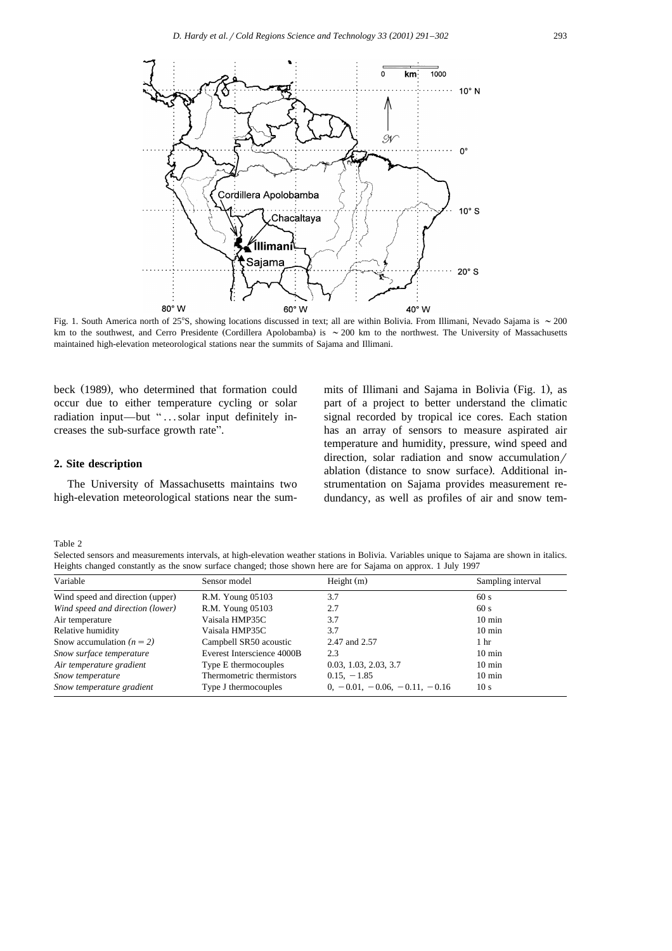

Fig. 1. South America north of 25°S, showing locations discussed in text; all are within Bolivia. From Illimani, Nevado Sajama is  $\sim 200$ km to the southwest, and Cerro Presidente (Cordillera Apolobamba) is  $\sim 200$  km to the northwest. The University of Massachusetts maintained high-elevation meteorological stations near the summits of Sajama and Illimani.

beck (1989), who determined that formation could occur due to either temperature cycling or solar radiation input—but "...solar input definitely increases the sub-surface growth rate".

#### **2. Site description**

The University of Massachusetts maintains two high-elevation meteorological stations near the sum-

mits of Illimani and Sajama in Bolivia (Fig. 1), as part of a project to better understand the climatic signal recorded by tropical ice cores. Each station has an array of sensors to measure aspirated air temperature and humidity, pressure, wind speed and direction, solar radiation and snow accumulation/ ablation (distance to snow surface). Additional instrumentation on Sajama provides measurement redundancy, as well as profiles of air and snow tem-

Table 2

Selected sensors and measurements intervals, at high-elevation weather stations in Bolivia. Variables unique to Sajama are shown in italics. Heights changed constantly as the snow surface changed; those shown here are for Sajama on approx. 1 July 1997

| Variable                         | Sensor model               | Height $(m)$                    | Sampling interval |
|----------------------------------|----------------------------|---------------------------------|-------------------|
| Wind speed and direction (upper) | R.M. Young 05103           | 3.7                             | 60s               |
| Wind speed and direction (lower) | R.M. Young 05103           | 2.7                             | 60 s              |
| Air temperature                  | Vaisala HMP35C             | 3.7                             | $10 \text{ min}$  |
| Relative humidity                | Vaisala HMP35C             | 3.7                             | $10 \text{ min}$  |
| Snow accumulation $(n = 2)$      | Campbell SR50 acoustic     | 2.47 and 2.57                   | 1 hr              |
| Snow surface temperature         | Everest Interscience 4000B | 2.3                             | $10 \text{ min}$  |
| Air temperature gradient         | Type E thermocouples       | 0.03, 1.03, 2.03, 3.7           | $10 \text{ min}$  |
| Snow temperature                 | Thermometric thermistors   | $0.15, -1.85$                   | $10 \text{ min}$  |
| Snow temperature gradient        | Type J thermocouples       | $0, -0.01, -0.06, -0.11, -0.16$ | 10 <sub>s</sub>   |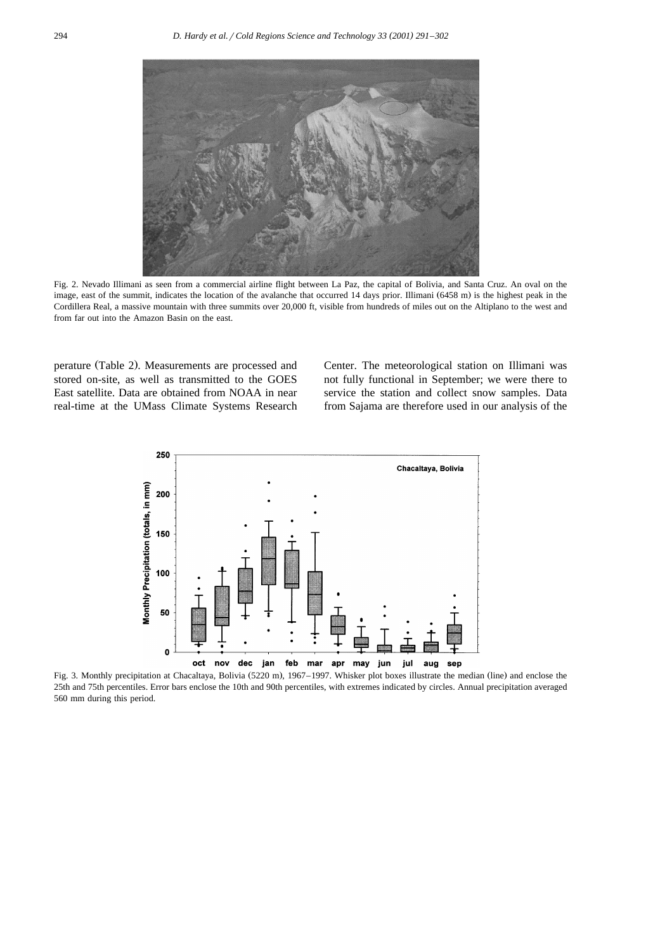

Fig. 2. Nevado Illimani as seen from a commercial airline flight between La Paz, the capital of Bolivia, and Santa Cruz. An oval on the image, east of the summit, indicates the location of the avalanche that occurred 14 days prior. Illimani (6458 m) is the highest peak in the Cordillera Real, a massive mountain with three summits over 20,000 ft, visible from hundreds of miles out on the Altiplano to the west and from far out into the Amazon Basin on the east.

perature (Table 2). Measurements are processed and stored on-site, as well as transmitted to the GOES East satellite. Data are obtained from NOAA in near real-time at the UMass Climate Systems Research

Center. The meteorological station on Illimani was not fully functional in September; we were there to service the station and collect snow samples. Data from Sajama are therefore used in our analysis of the



Fig. 3. Monthly precipitation at Chacaltaya, Bolivia (5220 m), 1967–1997. Whisker plot boxes illustrate the median (line) and enclose the 25th and 75th percentiles. Error bars enclose the 10th and 90th percentiles, with extremes indicated by circles. Annual precipitation averaged 560 mm during this period.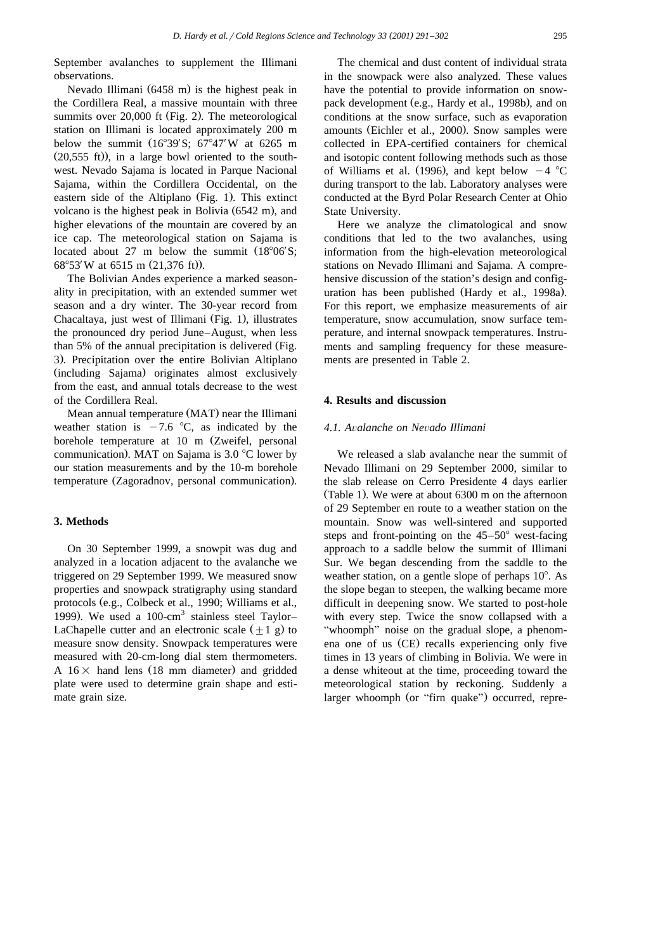September avalanches to supplement the Illimani observations.

Nevado Illimani  $(6458 \text{ m})$  is the highest peak in the Cordillera Real, a massive mountain with three summits over  $20,000$  ft (Fig. 2). The meteorological station on Illimani is located approximately 200 m below the summit  $(16^{\circ}39'S; 67^{\circ}47'W$  at 6265 m  $(20,555 \text{ ft})$ , in a large bowl oriented to the southwest. Nevado Sajama is located in Parque Nacional Sajama, within the Cordillera Occidental, on the eastern side of the Altiplano  $(Fig. 1)$ . This extinct volcano is the highest peak in Bolivia  $(6542 \text{ m})$ , and higher elevations of the mountain are covered by an ice cap. The meteorological station on Sajama is located about 27 m below the summit  $(18^{\circ}06'S; 68^{\circ}53'W$  at 6515 m  $(21.376 ft)$ .

The Bolivian Andes experience a marked seasonality in precipitation, with an extended summer wet season and a dry winter. The 30-year record from Chacaltaya, just west of Illimani (Fig. 1), illustrates the pronounced dry period June–August, when less than 5% of the annual precipitation is delivered (Fig. 3). Precipitation over the entire Bolivian Altiplano (including Sajama) originates almost exclusively from the east, and annual totals decrease to the west of the Cordillera Real.

Mean annual temperature (MAT) near the Illimani weather station is  $-7.6$  °C, as indicated by the borehole temperature at 10 m (Zweifel, personal communication). MAT on Sajama is  $3.0$  °C lower by our station measurements and by the 10-m borehole temperature (Zagoradnov, personal communication).

#### **3. Methods**

On 30 September 1999, a snowpit was dug and analyzed in a location adjacent to the avalanche we triggered on 29 September 1999. We measured snow properties and snowpack stratigraphy using standard protocols (e.g., Colbeck et al., 1990; Williams et al., 1999). We used a 100-cm<sup>3</sup> stainless steel Taylor– LaChapelle cutter and an electronic scale  $(\pm 1 \text{ g})$  to measure snow density. Snowpack temperatures were measured with 20-cm-long dial stem thermometers. A  $16\times$  hand lens (18 mm diameter) and gridded plate were used to determine grain shape and estimate grain size.

The chemical and dust content of individual strata in the snowpack were also analyzed. These values have the potential to provide information on snowpack development (e.g., Hardy et al., 1998b), and on conditions at the snow surface, such as evaporation amounts (Eichler et al., 2000). Snow samples were collected in EPA-certified containers for chemical and isotopic content following methods such as those of Williams et al. (1996), and kept below  $-4$  °C during transport to the lab. Laboratory analyses were conducted at the Byrd Polar Research Center at Ohio State University.

Here we analyze the climatological and snow conditions that led to the two avalanches, using information from the high-elevation meteorological stations on Nevado Illimani and Sajama. A comprehensive discussion of the station's design and configuration has been published (Hardy et al., 1998a). For this report, we emphasize measurements of air temperature, snow accumulation, snow surface temperature, and internal snowpack temperatures. Instruments and sampling frequency for these measurements are presented in Table 2.

## **4. Results and discussion**

### *4.1. A*Õ*alanche on Ne*Õ*ado Illimani*

We released a slab avalanche near the summit of Nevado Illimani on 29 September 2000, similar to the slab release on Cerro Presidente 4 days earlier (Table 1). We were at about  $6300$  m on the afternoon of 29 September en route to a weather station on the mountain. Snow was well-sintered and supported steps and front-pointing on the  $45-50^{\circ}$  west-facing approach to a saddle below the summit of Illimani Sur. We began descending from the saddle to the weather station, on a gentle slope of perhaps  $10^{\circ}$ . As the slope began to steepen, the walking became more difficult in deepening snow. We started to post-hole with every step. Twice the snow collapsed with a "whoomph" noise on the gradual slope, a phenomena one of us (CE) recalls experiencing only five times in 13 years of climbing in Bolivia. We were in a dense whiteout at the time, proceeding toward the meteorological station by reckoning. Suddenly a larger whoomph (or "firn quake") occurred, repre-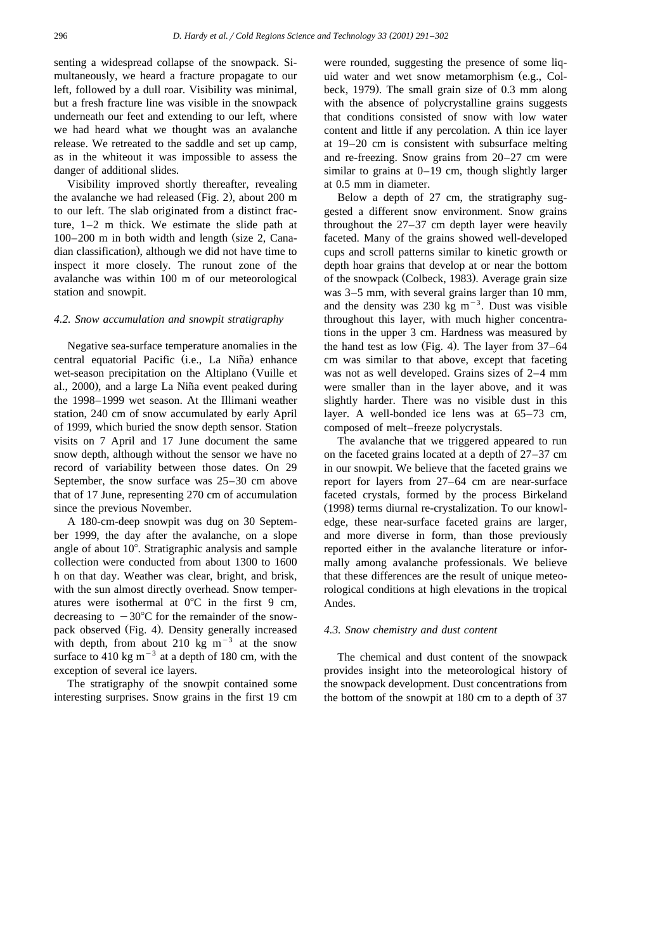senting a widespread collapse of the snowpack. Simultaneously, we heard a fracture propagate to our left, followed by a dull roar. Visibility was minimal, but a fresh fracture line was visible in the snowpack underneath our feet and extending to our left, where we had heard what we thought was an avalanche release. We retreated to the saddle and set up camp, as in the whiteout it was impossible to assess the danger of additional slides.

Visibility improved shortly thereafter, revealing the avalanche we had released (Fig. 2), about  $200 \text{ m}$ to our left. The slab originated from a distinct fracture, 1–2 m thick. We estimate the slide path at  $100-200$  m in both width and length (size 2, Canadian classification), although we did not have time to inspect it more closely. The runout zone of the avalanche was within 100 m of our meteorological station and snowpit.

#### *4.2. Snow accumulation and snowpit stratigraphy*

Negative sea-surface temperature anomalies in the central equatorial Pacific (i.e., La Niña) enhance wet-season precipitation on the Altiplano (Vuille et al.,  $2000$ , and a large La Niña event peaked during the 1998–1999 wet season. At the Illimani weather station, 240 cm of snow accumulated by early April of 1999, which buried the snow depth sensor. Station visits on 7 April and 17 June document the same snow depth, although without the sensor we have no record of variability between those dates. On 29 September, the snow surface was 25–30 cm above that of 17 June, representing 270 cm of accumulation since the previous November.

A 180-cm-deep snowpit was dug on 30 September 1999, the day after the avalanche, on a slope angle of about  $10^{\circ}$ . Stratigraphic analysis and sample collection were conducted from about 1300 to 1600 h on that day. Weather was clear, bright, and brisk, with the sun almost directly overhead. Snow temperatures were isothermal at  $0^{\circ}$ C in the first 9 cm, decreasing to  $-30^{\circ}$ C for the remainder of the snowpack observed (Fig. 4). Density generally increased with depth, from about 210 kg  $m^{-3}$  at the snow surface to 410 kg  $\text{m}^{-3}$  at a depth of 180 cm, with the exception of several ice layers.

The stratigraphy of the snowpit contained some interesting surprises. Snow grains in the first 19 cm were rounded, suggesting the presence of some liquid water and wet snow metamorphism (e.g., Colbeck, 1979). The small grain size of  $0.3$  mm along with the absence of polycrystalline grains suggests that conditions consisted of snow with low water content and little if any percolation. A thin ice layer at 19–20 cm is consistent with subsurface melting and re-freezing. Snow grains from 20–27 cm were similar to grains at 0–19 cm, though slightly larger at 0.5 mm in diameter.

Below a depth of 27 cm, the stratigraphy suggested a different snow environment. Snow grains throughout the 27–37 cm depth layer were heavily faceted. Many of the grains showed well-developed cups and scroll patterns similar to kinetic growth or depth hoar grains that develop at or near the bottom of the snowpack (Colbeck, 1983). Average grain size was 3–5 mm, with several grains larger than 10 mm, and the density was 230 kg m<sup>-3</sup>. Dust was visible throughout this layer, with much higher concentrations in the upper 3 cm. Hardness was measured by the hand test as low (Fig. 4). The layer from  $37-64$ cm was similar to that above, except that faceting was not as well developed. Grains sizes of 2–4 mm were smaller than in the layer above, and it was slightly harder. There was no visible dust in this layer. A well-bonded ice lens was at 65–73 cm, composed of melt–freeze polycrystals.

The avalanche that we triggered appeared to run on the faceted grains located at a depth of 27–37 cm in our snowpit. We believe that the faceted grains we report for layers from 27–64 cm are near-surface faceted crystals, formed by the process Birkeland (1998) terms diurnal re-crystalization. To our knowledge, these near-surface faceted grains are larger, and more diverse in form, than those previously reported either in the avalanche literature or informally among avalanche professionals. We believe that these differences are the result of unique meteorological conditions at high elevations in the tropical Andes.

#### *4.3. Snow chemistry and dust content*

The chemical and dust content of the snowpack provides insight into the meteorological history of the snowpack development. Dust concentrations from the bottom of the snowpit at 180 cm to a depth of 37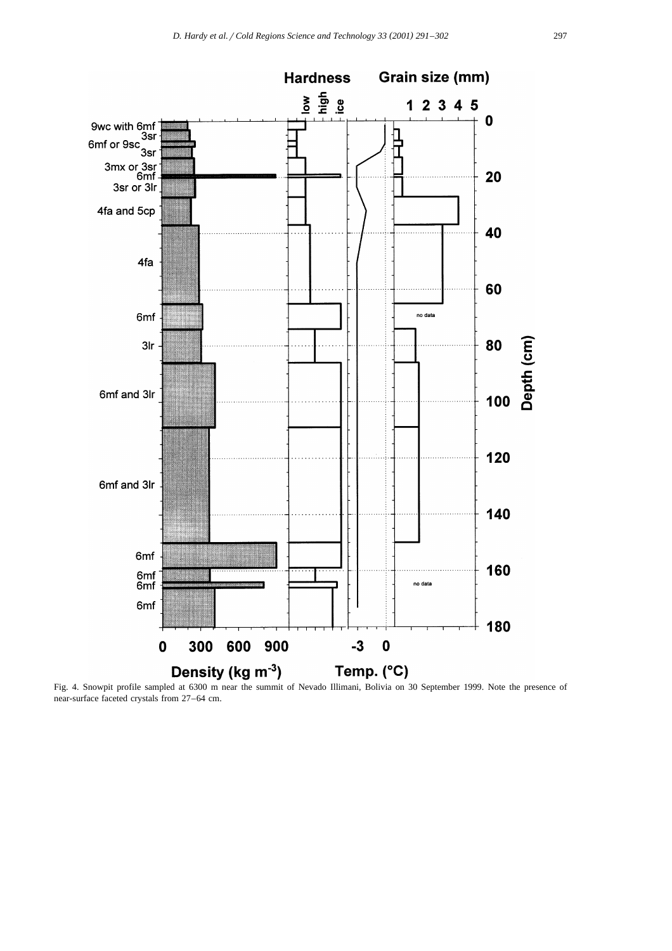

Fig. 4. Snowpit profile sampled at 6300 m near the summit of Nevado Illimani, Bolivia on 30 September 1999. Note the presence of near-surface faceted crystals from 27–64 cm.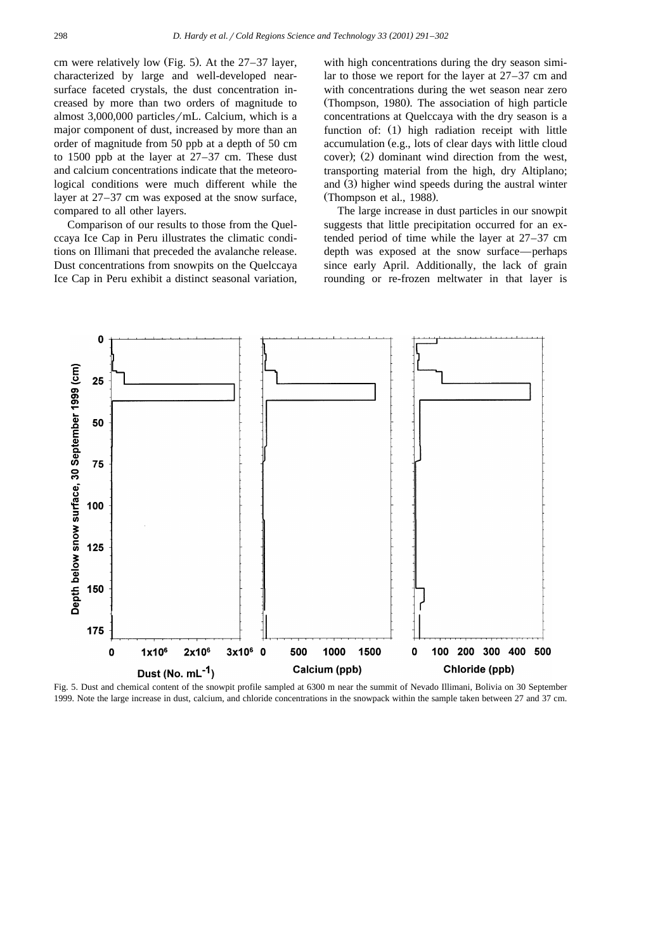cm were relatively low (Fig. 5). At the  $27-37$  layer, characterized by large and well-developed nearsurface faceted crystals, the dust concentration increased by more than two orders of magnitude to almost  $3,000,000$  particles/mL. Calcium, which is a major component of dust, increased by more than an order of magnitude from 50 ppb at a depth of 50 cm to 1500 ppb at the layer at 27–37 cm. These dust and calcium concentrations indicate that the meteorological conditions were much different while the layer at 27–37 cm was exposed at the snow surface, compared to all other layers.

Comparison of our results to those from the Quelccaya Ice Cap in Peru illustrates the climatic conditions on Illimani that preceded the avalanche release. Dust concentrations from snowpits on the Quelccaya Ice Cap in Peru exhibit a distinct seasonal variation,

with high concentrations during the dry season similar to those we report for the layer at 27–37 cm and with concentrations during the wet season near zero (Thompson, 1980). The association of high particle concentrations at Quelccaya with the dry season is a function of:  $(1)$  high radiation receipt with little accumulation (e.g., lots of clear days with little cloud cover);  $(2)$  dominant wind direction from the west, transporting material from the high, dry Altiplano; and (3) higher wind speeds during the austral winter (Thompson et al.,  $1988$ ).

The large increase in dust particles in our snowpit suggests that little precipitation occurred for an extended period of time while the layer at 27–37 cm depth was exposed at the snow surface—perhaps since early April. Additionally, the lack of grain rounding or re-frozen meltwater in that layer is



Fig. 5. Dust and chemical content of the snowpit profile sampled at 6300 m near the summit of Nevado Illimani, Bolivia on 30 September 1999. Note the large increase in dust, calcium, and chloride concentrations in the snowpack within the sample taken between 27 and 37 cm.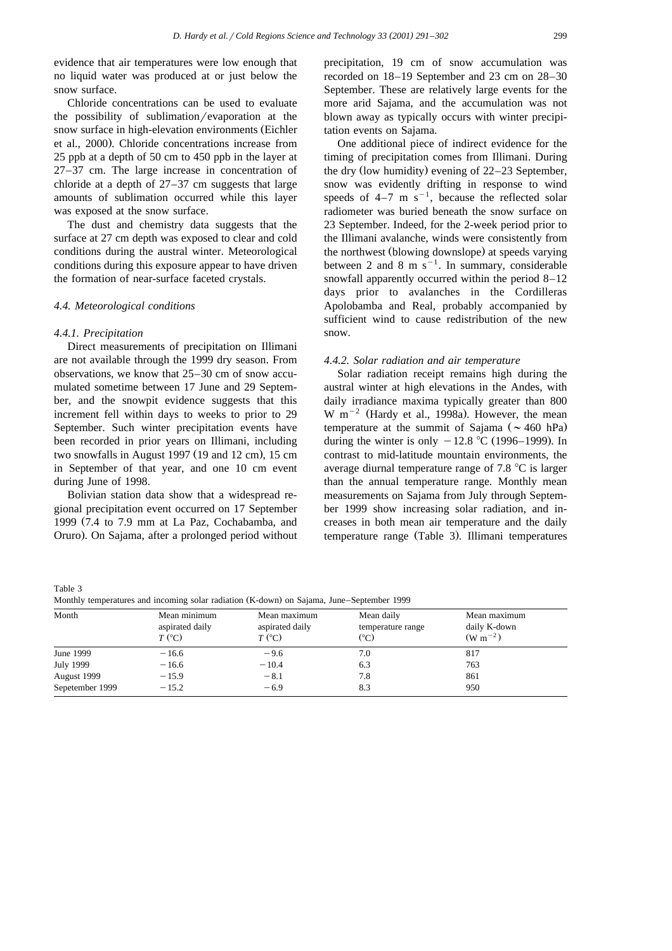evidence that air temperatures were low enough that no liquid water was produced at or just below the snow surface.

Chloride concentrations can be used to evaluate the possibility of sublimation/evaporation at the snow surface in high-elevation environments (Eichler et al., 2000). Chloride concentrations increase from 25 ppb at a depth of 50 cm to 450 ppb in the layer at 27–37 cm. The large increase in concentration of chloride at a depth of 27–37 cm suggests that large amounts of sublimation occurred while this layer was exposed at the snow surface.

The dust and chemistry data suggests that the surface at 27 cm depth was exposed to clear and cold conditions during the austral winter. Meteorological conditions during this exposure appear to have driven the formation of near-surface faceted crystals.

#### *4.4. Meteorological conditions*

## *4.4.1. Precipitation*

Direct measurements of precipitation on Illimani are not available through the 1999 dry season. From observations, we know that 25–30 cm of snow accumulated sometime between 17 June and 29 September, and the snowpit evidence suggests that this increment fell within days to weeks to prior to 29 September. Such winter precipitation events have been recorded in prior years on Illimani, including two snowfalls in August 1997 (19 and 12 cm), 15 cm in September of that year, and one 10 cm event during June of 1998.

Bolivian station data show that a widespread regional precipitation event occurred on 17 September 1999 (7.4 to 7.9 mm at La Paz, Cochabamba, and Oruro). On Sajama, after a prolonged period without

precipitation, 19 cm of snow accumulation was recorded on 18–19 September and 23 cm on 28–30 September. These are relatively large events for the more arid Sajama, and the accumulation was not blown away as typically occurs with winter precipitation events on Sajama.

One additional piece of indirect evidence for the timing of precipitation comes from Illimani. During the dry (low humidity) evening of  $22-23$  September, snow was evidently drifting in response to wind speeds of  $4-7$  m s<sup>-1</sup>, because the reflected solar radiometer was buried beneath the snow surface on 23 September. Indeed, for the 2-week period prior to the Illimani avalanche, winds were consistently from the northwest (blowing downslope) at speeds varying between 2 and 8 m  $s^{-1}$ . In summary, considerable snowfall apparently occurred within the period 8–12 days prior to avalanches in the Cordilleras Apolobamba and Real, probably accompanied by sufficient wind to cause redistribution of the new snow.

#### *4.4.2. Solar radiation and air temperature*

Solar radiation receipt remains high during the austral winter at high elevations in the Andes, with daily irradiance maxima typically greater than 800 W m<sup>-2</sup> (Hardy et al., 1998a). However, the mean temperature at the summit of Sajama ( $\sim 460$  hPa) during the winter is only  $-12.8$  °C (1996–1999). In contrast to mid-latitude mountain environments, the average diurnal temperature range of 7.8  $\degree$ C is larger than the annual temperature range. Monthly mean measurements on Sajama from July through September 1999 show increasing solar radiation, and increases in both mean air temperature and the daily temperature range (Table 3). Illimani temperatures

Table 3 Monthly temperatures and incoming solar radiation (K-down) on Sajama, June–September 1999

| Month           | Mean minimum<br>aspirated daily<br>$T$ (°C) | Mean maximum<br>aspirated daily<br>$T$ (°C) | Mean daily<br>temperature range<br>(°C) | Mean maximum<br>daily K-down<br>$(W m^{-2})$ |
|-----------------|---------------------------------------------|---------------------------------------------|-----------------------------------------|----------------------------------------------|
| June 1999       | $-16.6$                                     | $-9.6$                                      | 7.0                                     | 817                                          |
| July 1999       | $-16.6$                                     | $-10.4$                                     | 6.3                                     | 763                                          |
| August 1999     | $-15.9$                                     | $-8.1$                                      | 7.8                                     | 861                                          |
| Sepetember 1999 | $-15.2$                                     | $-6.9$                                      | 8.3                                     | 950                                          |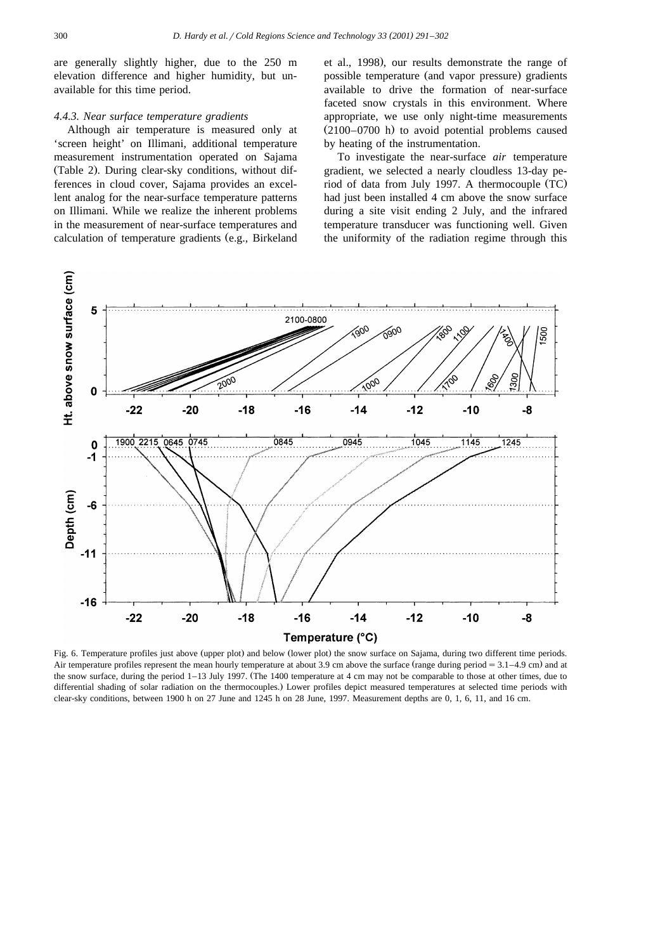are generally slightly higher, due to the 250 m elevation difference and higher humidity, but unavailable for this time period.

## *4.4.3. Near surface temperature gradients*

Although air temperature is measured only at 'screen height' on Illimani, additional temperature measurement instrumentation operated on Sajama (Table 2). During clear-sky conditions, without differences in cloud cover, Sajama provides an excellent analog for the near-surface temperature patterns on Illimani. While we realize the inherent problems in the measurement of near-surface temperatures and calculation of temperature gradients (e.g., Birkeland et al., 1998), our results demonstrate the range of possible temperature (and vapor pressure) gradients available to drive the formation of near-surface faceted snow crystals in this environment. Where appropriate, we use only night-time measurements  $(2100-0700)$  h to avoid potential problems caused by heating of the instrumentation.

To investigate the near-surface *air* temperature gradient, we selected a nearly cloudless 13-day period of data from July 1997. A thermocouple  $(TC)$ had just been installed 4 cm above the snow surface during a site visit ending 2 July, and the infrared temperature transducer was functioning well. Given the uniformity of the radiation regime through this



Fig. 6. Temperature profiles just above (upper plot) and below (lower plot) the snow surface on Sajama, during two different time periods. Air temperature profiles represent the mean hourly temperature at about 3.9 cm above the surface (range during period  $= 3.1 - 4.9$  cm) and at the snow surface, during the period  $1-13$  July 1997. (The 1400 temperature at 4 cm may not be comparable to those at other times, due to differential shading of solar radiation on the thermocouples.) Lower profiles depict measured temperatures at selected time periods with clear-sky conditions, between 1900 h on 27 June and 1245 h on 28 June, 1997. Measurement depths are 0, 1, 6, 11, and 16 cm.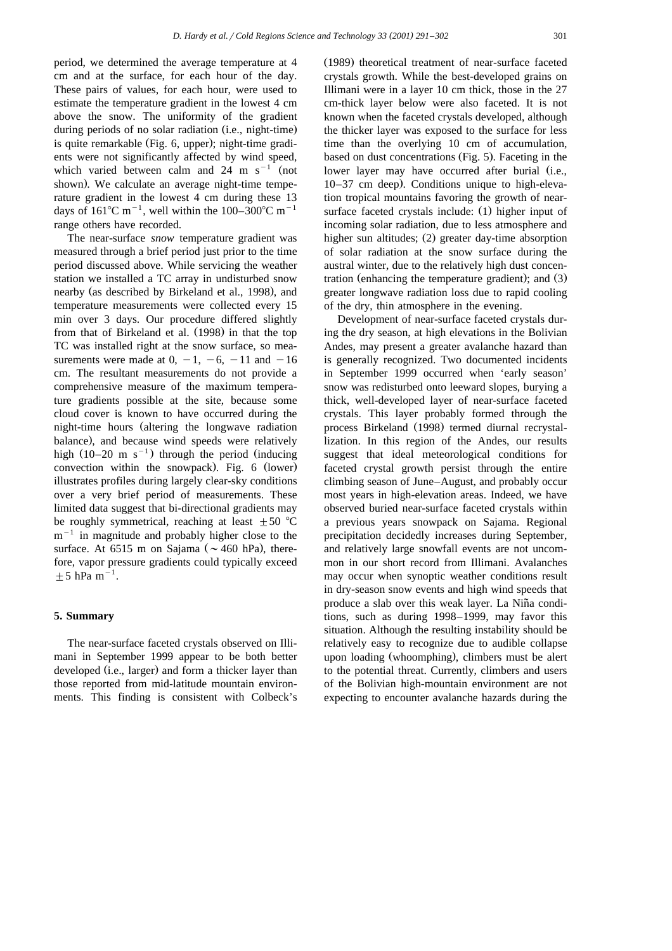period, we determined the average temperature at 4 cm and at the surface, for each hour of the day. These pairs of values, for each hour, were used to estimate the temperature gradient in the lowest 4 cm above the snow. The uniformity of the gradient during periods of no solar radiation (i.e., night-time) is quite remarkable (Fig. 6, upper); night-time gradients were not significantly affected by wind speed, which varied between calm and 24 m  $s^{-1}$  (not shown). We calculate an average night-time temperature gradient in the lowest 4 cm during these 13 days of  $161^{\circ}$ C m<sup>-1</sup>, well within the 100–300°C m<sup>-1</sup> range others have recorded.

The near-surface *snow* temperature gradient was measured through a brief period just prior to the time period discussed above. While servicing the weather station we installed a TC array in undisturbed snow nearby (as described by Birkeland et al., 1998), and temperature measurements were collected every 15 min over 3 days. Our procedure differed slightly from that of Birkeland et al.  $(1998)$  in that the top TC was installed right at the snow surface, so measurements were made at  $0, -1, -6, -11$  and  $-16$ cm. The resultant measurements do not provide a comprehensive measure of the maximum temperature gradients possible at the site, because some cloud cover is known to have occurred during the night-time hours (altering the longwave radiation balance), and because wind speeds were relatively high  $(10-20 \text{ m s}^{-1})$  through the period (inducing convection within the snowpack). Fig.  $6$  (lower) illustrates profiles during largely clear-sky conditions over a very brief period of measurements. These limited data suggest that bi-directional gradients may be roughly symmetrical, reaching at least  $\pm 50$  °C  $m^{-1}$  in magnitude and probably higher close to the surface. At 6515 m on Sajama ( $\sim$  460 hPa), therefore, vapor pressure gradients could typically exceed  $\pm$  5 hPa m<sup>-1</sup>.

#### **5. Summary**

The near-surface faceted crystals observed on Illimani in September 1999 appear to be both better developed (i.e., larger) and form a thicker layer than those reported from mid-latitude mountain environments. This finding is consistent with Colbeck's

(1989) theoretical treatment of near-surface faceted crystals growth. While the best-developed grains on Illimani were in a layer 10 cm thick, those in the 27 cm-thick layer below were also faceted. It is not known when the faceted crystals developed, although the thicker layer was exposed to the surface for less time than the overlying 10 cm of accumulation, based on dust concentrations (Fig. 5). Faceting in the lower layer may have occurred after burial (i.e.,  $10-37$  cm deep). Conditions unique to high-elevation tropical mountains favoring the growth of nearsurface faceted crystals include:  $(1)$  higher input of incoming solar radiation, due to less atmosphere and higher sun altitudes; (2) greater day-time absorption of solar radiation at the snow surface during the austral winter, due to the relatively high dust concentration (enhancing the temperature gradient); and  $(3)$ greater longwave radiation loss due to rapid cooling of the dry, thin atmosphere in the evening.

Development of near-surface faceted crystals during the dry season, at high elevations in the Bolivian Andes, may present a greater avalanche hazard than is generally recognized. Two documented incidents in September 1999 occurred when 'early season' snow was redisturbed onto leeward slopes, burying a thick, well-developed layer of near-surface faceted crystals. This layer probably formed through the process Birkeland (1998) termed diurnal recrystallization. In this region of the Andes, our results suggest that ideal meteorological conditions for faceted crystal growth persist through the entire climbing season of June–August, and probably occur most years in high-elevation areas. Indeed, we have observed buried near-surface faceted crystals within a previous years snowpack on Sajama. Regional precipitation decidedly increases during September, and relatively large snowfall events are not uncommon in our short record from Illimani. Avalanches may occur when synoptic weather conditions result in dry-season snow events and high wind speeds that produce a slab over this weak layer. La Niña conditions, such as during 1998–1999, may favor this situation. Although the resulting instability should be relatively easy to recognize due to audible collapse upon loading (whoomphing), climbers must be alert to the potential threat. Currently, climbers and users of the Bolivian high-mountain environment are not expecting to encounter avalanche hazards during the